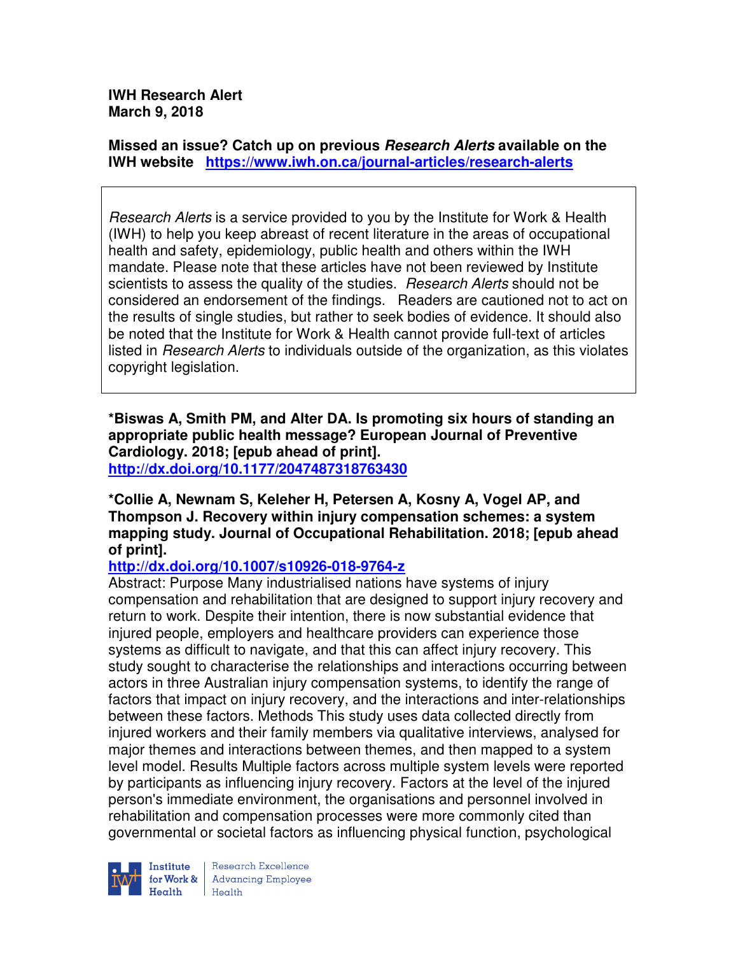**IWH Research Alert March 9, 2018** 

**Missed an issue? Catch up on previous Research Alerts available on the IWH website https://www.iwh.on.ca/journal-articles/research-alerts** 

Research Alerts is a service provided to you by the Institute for Work & Health (IWH) to help you keep abreast of recent literature in the areas of occupational health and safety, epidemiology, public health and others within the IWH mandate. Please note that these articles have not been reviewed by Institute scientists to assess the quality of the studies. Research Alerts should not be considered an endorsement of the findings. Readers are cautioned not to act on the results of single studies, but rather to seek bodies of evidence. It should also be noted that the Institute for Work & Health cannot provide full-text of articles listed in Research Alerts to individuals outside of the organization, as this violates copyright legislation.

**\*Biswas A, Smith PM, and Alter DA. Is promoting six hours of standing an appropriate public health message? European Journal of Preventive Cardiology. 2018; [epub ahead of print]. http://dx.doi.org/10.1177/2047487318763430** 

**\*Collie A, Newnam S, Keleher H, Petersen A, Kosny A, Vogel AP, and Thompson J. Recovery within injury compensation schemes: a system mapping study. Journal of Occupational Rehabilitation. 2018; [epub ahead of print].** 

**http://dx.doi.org/10.1007/s10926-018-9764-z** 

Abstract: Purpose Many industrialised nations have systems of injury compensation and rehabilitation that are designed to support injury recovery and return to work. Despite their intention, there is now substantial evidence that injured people, employers and healthcare providers can experience those systems as difficult to navigate, and that this can affect injury recovery. This study sought to characterise the relationships and interactions occurring between actors in three Australian injury compensation systems, to identify the range of factors that impact on injury recovery, and the interactions and inter-relationships between these factors. Methods This study uses data collected directly from injured workers and their family members via qualitative interviews, analysed for major themes and interactions between themes, and then mapped to a system level model. Results Multiple factors across multiple system levels were reported by participants as influencing injury recovery. Factors at the level of the injured person's immediate environment, the organisations and personnel involved in rehabilitation and compensation processes were more commonly cited than governmental or societal factors as influencing physical function, psychological



Research Excellence Institute Research Excellence<br>
for Work & Advancing Employee<br>
Health Health  $H_{\text{eath}}$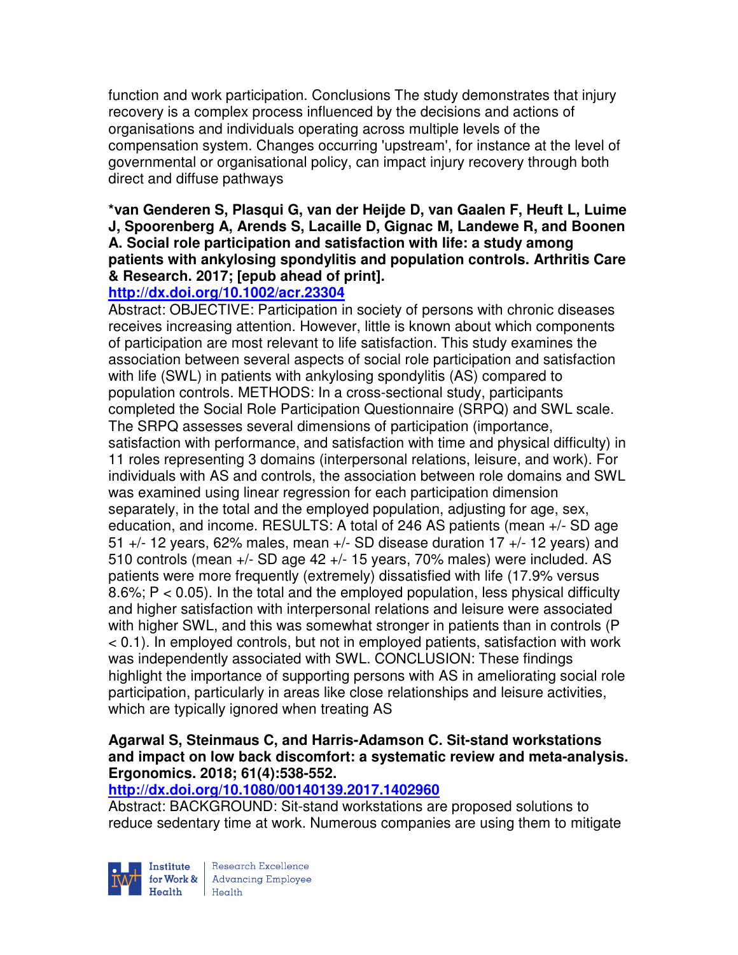function and work participation. Conclusions The study demonstrates that injury recovery is a complex process influenced by the decisions and actions of organisations and individuals operating across multiple levels of the compensation system. Changes occurring 'upstream', for instance at the level of governmental or organisational policy, can impact injury recovery through both direct and diffuse pathways

## **\*van Genderen S, Plasqui G, van der Heijde D, van Gaalen F, Heuft L, Luime J, Spoorenberg A, Arends S, Lacaille D, Gignac M, Landewe R, and Boonen A. Social role participation and satisfaction with life: a study among patients with ankylosing spondylitis and population controls. Arthritis Care & Research. 2017; [epub ahead of print].**

# **http://dx.doi.org/10.1002/acr.23304**

Abstract: OBJECTIVE: Participation in society of persons with chronic diseases receives increasing attention. However, little is known about which components of participation are most relevant to life satisfaction. This study examines the association between several aspects of social role participation and satisfaction with life (SWL) in patients with ankylosing spondylitis (AS) compared to population controls. METHODS: In a cross-sectional study, participants completed the Social Role Participation Questionnaire (SRPQ) and SWL scale. The SRPQ assesses several dimensions of participation (importance, satisfaction with performance, and satisfaction with time and physical difficulty) in 11 roles representing 3 domains (interpersonal relations, leisure, and work). For individuals with AS and controls, the association between role domains and SWL was examined using linear regression for each participation dimension separately, in the total and the employed population, adjusting for age, sex, education, and income. RESULTS: A total of 246 AS patients (mean +/- SD age 51  $+/-$  12 years, 62% males, mean  $+/-$  SD disease duration 17  $+/-$  12 years) and 510 controls (mean +/- SD age 42 +/- 15 years, 70% males) were included. AS patients were more frequently (extremely) dissatisfied with life (17.9% versus 8.6%; P < 0.05). In the total and the employed population, less physical difficulty and higher satisfaction with interpersonal relations and leisure were associated with higher SWL, and this was somewhat stronger in patients than in controls (P < 0.1). In employed controls, but not in employed patients, satisfaction with work was independently associated with SWL. CONCLUSION: These findings highlight the importance of supporting persons with AS in ameliorating social role participation, particularly in areas like close relationships and leisure activities, which are typically ignored when treating AS

## **Agarwal S, Steinmaus C, and Harris-Adamson C. Sit-stand workstations and impact on low back discomfort: a systematic review and meta-analysis. Ergonomics. 2018; 61(4):538-552.**

## **http://dx.doi.org/10.1080/00140139.2017.1402960**

Abstract: BACKGROUND: Sit-stand workstations are proposed solutions to reduce sedentary time at work. Numerous companies are using them to mitigate

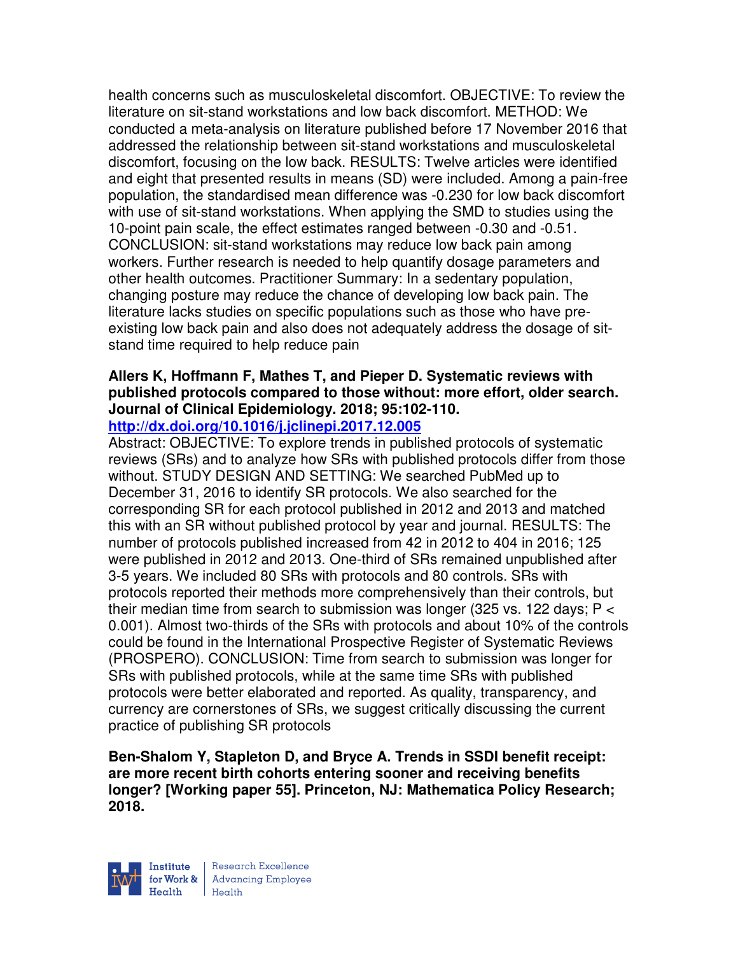health concerns such as musculoskeletal discomfort. OBJECTIVE: To review the literature on sit-stand workstations and low back discomfort. METHOD: We conducted a meta-analysis on literature published before 17 November 2016 that addressed the relationship between sit-stand workstations and musculoskeletal discomfort, focusing on the low back. RESULTS: Twelve articles were identified and eight that presented results in means (SD) were included. Among a pain-free population, the standardised mean difference was -0.230 for low back discomfort with use of sit-stand workstations. When applying the SMD to studies using the 10-point pain scale, the effect estimates ranged between -0.30 and -0.51. CONCLUSION: sit-stand workstations may reduce low back pain among workers. Further research is needed to help quantify dosage parameters and other health outcomes. Practitioner Summary: In a sedentary population, changing posture may reduce the chance of developing low back pain. The literature lacks studies on specific populations such as those who have preexisting low back pain and also does not adequately address the dosage of sitstand time required to help reduce pain

## **Allers K, Hoffmann F, Mathes T, and Pieper D. Systematic reviews with published protocols compared to those without: more effort, older search. Journal of Clinical Epidemiology. 2018; 95:102-110.**

### **http://dx.doi.org/10.1016/j.jclinepi.2017.12.005**

Abstract: OBJECTIVE: To explore trends in published protocols of systematic reviews (SRs) and to analyze how SRs with published protocols differ from those without. STUDY DESIGN AND SETTING: We searched PubMed up to December 31, 2016 to identify SR protocols. We also searched for the corresponding SR for each protocol published in 2012 and 2013 and matched this with an SR without published protocol by year and journal. RESULTS: The number of protocols published increased from 42 in 2012 to 404 in 2016; 125 were published in 2012 and 2013. One-third of SRs remained unpublished after 3-5 years. We included 80 SRs with protocols and 80 controls. SRs with protocols reported their methods more comprehensively than their controls, but their median time from search to submission was longer (325 vs. 122 days; P < 0.001). Almost two-thirds of the SRs with protocols and about 10% of the controls could be found in the International Prospective Register of Systematic Reviews (PROSPERO). CONCLUSION: Time from search to submission was longer for SRs with published protocols, while at the same time SRs with published protocols were better elaborated and reported. As quality, transparency, and currency are cornerstones of SRs, we suggest critically discussing the current practice of publishing SR protocols

**Ben-Shalom Y, Stapleton D, and Bryce A. Trends in SSDI benefit receipt: are more recent birth cohorts entering sooner and receiving benefits longer? [Working paper 55]. Princeton, NJ: Mathematica Policy Research; 2018.** 

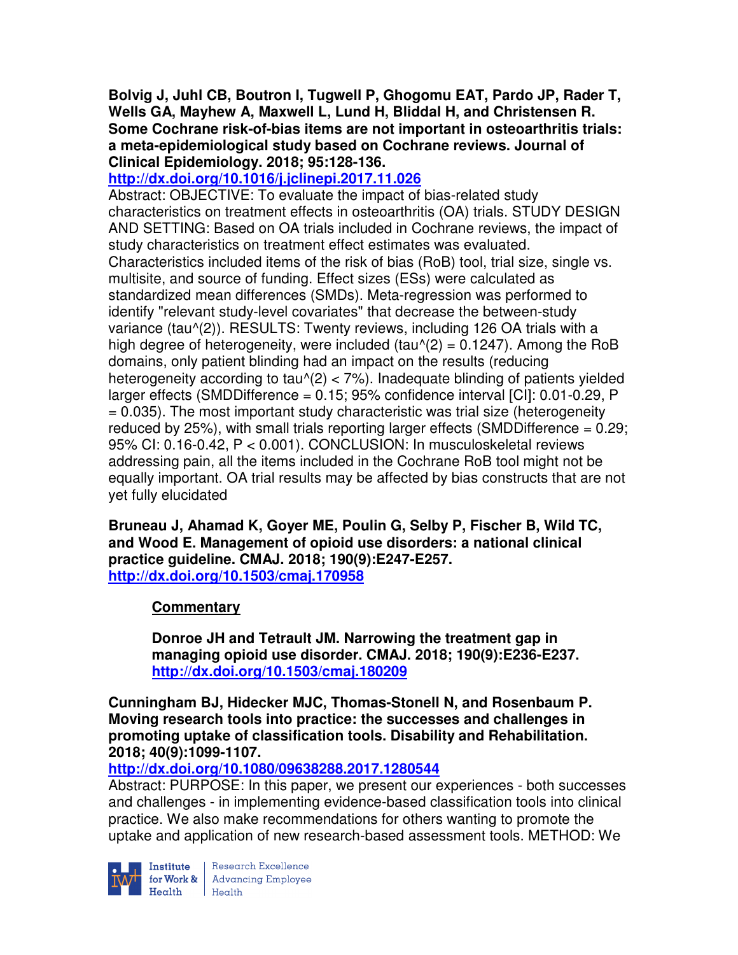**Bolvig J, Juhl CB, Boutron I, Tugwell P, Ghogomu EAT, Pardo JP, Rader T, Wells GA, Mayhew A, Maxwell L, Lund H, Bliddal H, and Christensen R. Some Cochrane risk-of-bias items are not important in osteoarthritis trials: a meta-epidemiological study based on Cochrane reviews. Journal of Clinical Epidemiology. 2018; 95:128-136.** 

**http://dx.doi.org/10.1016/j.jclinepi.2017.11.026** 

Abstract: OBJECTIVE: To evaluate the impact of bias-related study characteristics on treatment effects in osteoarthritis (OA) trials. STUDY DESIGN AND SETTING: Based on OA trials included in Cochrane reviews, the impact of study characteristics on treatment effect estimates was evaluated. Characteristics included items of the risk of bias (RoB) tool, trial size, single vs. multisite, and source of funding. Effect sizes (ESs) were calculated as standardized mean differences (SMDs). Meta-regression was performed to identify "relevant study-level covariates" that decrease the between-study variance (tau^(2)). RESULTS: Twenty reviews, including 126 OA trials with a high degree of heterogeneity, were included (tau $\gamma$ (2) = 0.1247). Among the RoB domains, only patient blinding had an impact on the results (reducing heterogeneity according to tau $(2) < 7\%$ ). Inadequate blinding of patients yielded larger effects (SMDDifference = 0.15; 95% confidence interval [CI]: 0.01-0.29, P = 0.035). The most important study characteristic was trial size (heterogeneity reduced by 25%), with small trials reporting larger effects (SMDDifference = 0.29; 95% CI: 0.16-0.42, P < 0.001). CONCLUSION: In musculoskeletal reviews addressing pain, all the items included in the Cochrane RoB tool might not be equally important. OA trial results may be affected by bias constructs that are not yet fully elucidated

**Bruneau J, Ahamad K, Goyer ME, Poulin G, Selby P, Fischer B, Wild TC, and Wood E. Management of opioid use disorders: a national clinical practice guideline. CMAJ. 2018; 190(9):E247-E257. http://dx.doi.org/10.1503/cmaj.170958** 

## **Commentary**

**Donroe JH and Tetrault JM. Narrowing the treatment gap in managing opioid use disorder. CMAJ. 2018; 190(9):E236-E237. http://dx.doi.org/10.1503/cmaj.180209** 

**Cunningham BJ, Hidecker MJC, Thomas-Stonell N, and Rosenbaum P. Moving research tools into practice: the successes and challenges in promoting uptake of classification tools. Disability and Rehabilitation. 2018; 40(9):1099-1107.** 

**http://dx.doi.org/10.1080/09638288.2017.1280544** 

Abstract: PURPOSE: In this paper, we present our experiences - both successes and challenges - in implementing evidence-based classification tools into clinical practice. We also make recommendations for others wanting to promote the uptake and application of new research-based assessment tools. METHOD: We



Institute Research Excellence<br>for Work & Advancing Employee Health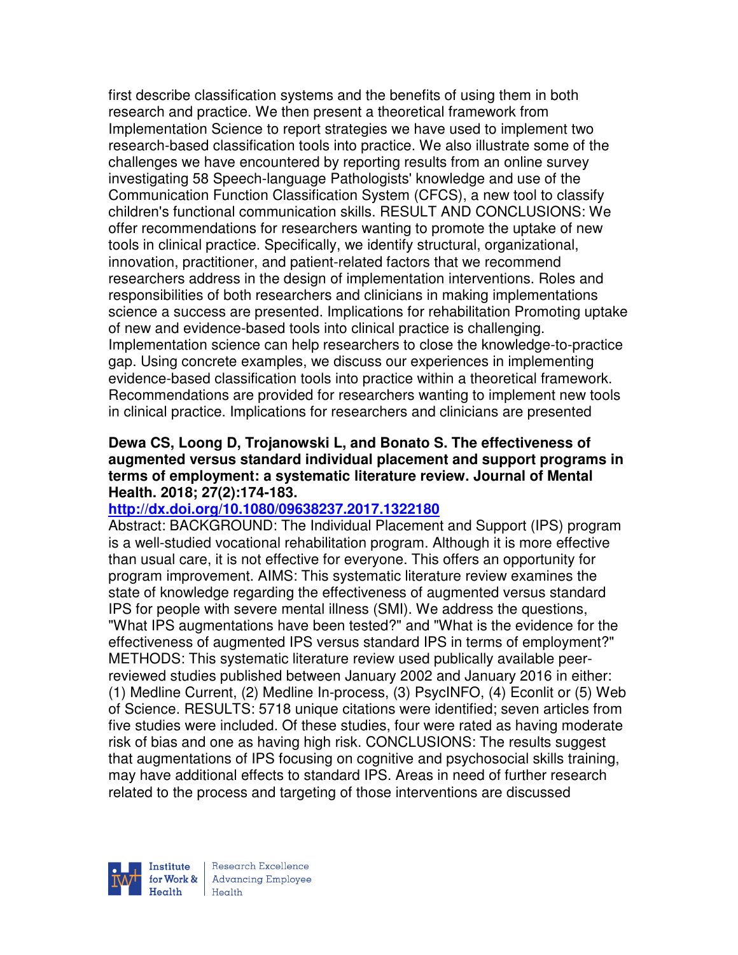first describe classification systems and the benefits of using them in both research and practice. We then present a theoretical framework from Implementation Science to report strategies we have used to implement two research-based classification tools into practice. We also illustrate some of the challenges we have encountered by reporting results from an online survey investigating 58 Speech-language Pathologists' knowledge and use of the Communication Function Classification System (CFCS), a new tool to classify children's functional communication skills. RESULT AND CONCLUSIONS: We offer recommendations for researchers wanting to promote the uptake of new tools in clinical practice. Specifically, we identify structural, organizational, innovation, practitioner, and patient-related factors that we recommend researchers address in the design of implementation interventions. Roles and responsibilities of both researchers and clinicians in making implementations science a success are presented. Implications for rehabilitation Promoting uptake of new and evidence-based tools into clinical practice is challenging. Implementation science can help researchers to close the knowledge-to-practice gap. Using concrete examples, we discuss our experiences in implementing evidence-based classification tools into practice within a theoretical framework. Recommendations are provided for researchers wanting to implement new tools in clinical practice. Implications for researchers and clinicians are presented

#### **Dewa CS, Loong D, Trojanowski L, and Bonato S. The effectiveness of augmented versus standard individual placement and support programs in terms of employment: a systematic literature review. Journal of Mental Health. 2018; 27(2):174-183.**

#### **http://dx.doi.org/10.1080/09638237.2017.1322180**

Abstract: BACKGROUND: The Individual Placement and Support (IPS) program is a well-studied vocational rehabilitation program. Although it is more effective than usual care, it is not effective for everyone. This offers an opportunity for program improvement. AIMS: This systematic literature review examines the state of knowledge regarding the effectiveness of augmented versus standard IPS for people with severe mental illness (SMI). We address the questions, "What IPS augmentations have been tested?" and "What is the evidence for the effectiveness of augmented IPS versus standard IPS in terms of employment?" METHODS: This systematic literature review used publically available peerreviewed studies published between January 2002 and January 2016 in either: (1) Medline Current, (2) Medline In-process, (3) PsycINFO, (4) Econlit or (5) Web of Science. RESULTS: 5718 unique citations were identified; seven articles from five studies were included. Of these studies, four were rated as having moderate risk of bias and one as having high risk. CONCLUSIONS: The results suggest that augmentations of IPS focusing on cognitive and psychosocial skills training, may have additional effects to standard IPS. Areas in need of further research related to the process and targeting of those interventions are discussed

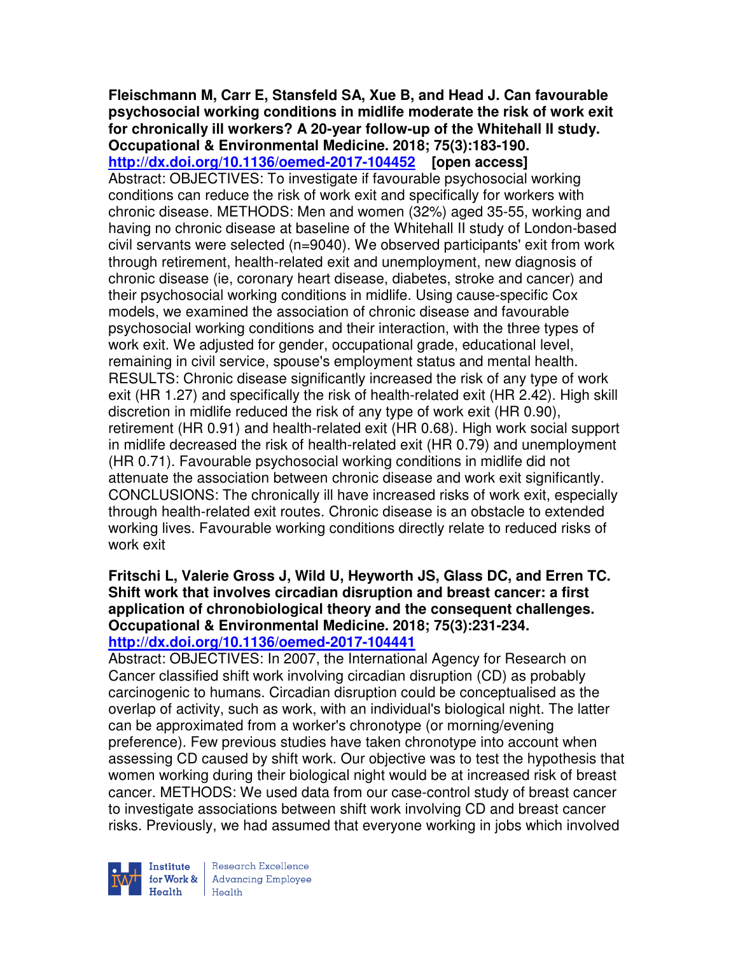#### **Fleischmann M, Carr E, Stansfeld SA, Xue B, and Head J. Can favourable psychosocial working conditions in midlife moderate the risk of work exit for chronically ill workers? A 20-year follow-up of the Whitehall II study. Occupational & Environmental Medicine. 2018; 75(3):183-190.**

**http://dx.doi.org/10.1136/oemed-2017-104452 [open access]** Abstract: OBJECTIVES: To investigate if favourable psychosocial working conditions can reduce the risk of work exit and specifically for workers with chronic disease. METHODS: Men and women (32%) aged 35-55, working and having no chronic disease at baseline of the Whitehall II study of London-based civil servants were selected (n=9040). We observed participants' exit from work through retirement, health-related exit and unemployment, new diagnosis of chronic disease (ie, coronary heart disease, diabetes, stroke and cancer) and their psychosocial working conditions in midlife. Using cause-specific Cox models, we examined the association of chronic disease and favourable psychosocial working conditions and their interaction, with the three types of work exit. We adjusted for gender, occupational grade, educational level, remaining in civil service, spouse's employment status and mental health. RESULTS: Chronic disease significantly increased the risk of any type of work exit (HR 1.27) and specifically the risk of health-related exit (HR 2.42). High skill discretion in midlife reduced the risk of any type of work exit (HR 0.90), retirement (HR 0.91) and health-related exit (HR 0.68). High work social support in midlife decreased the risk of health-related exit (HR 0.79) and unemployment (HR 0.71). Favourable psychosocial working conditions in midlife did not attenuate the association between chronic disease and work exit significantly. CONCLUSIONS: The chronically ill have increased risks of work exit, especially through health-related exit routes. Chronic disease is an obstacle to extended working lives. Favourable working conditions directly relate to reduced risks of work exit

#### **Fritschi L, Valerie Gross J, Wild U, Heyworth JS, Glass DC, and Erren TC. Shift work that involves circadian disruption and breast cancer: a first application of chronobiological theory and the consequent challenges. Occupational & Environmental Medicine. 2018; 75(3):231-234. http://dx.doi.org/10.1136/oemed-2017-104441**

Abstract: OBJECTIVES: In 2007, the International Agency for Research on Cancer classified shift work involving circadian disruption (CD) as probably carcinogenic to humans. Circadian disruption could be conceptualised as the overlap of activity, such as work, with an individual's biological night. The latter can be approximated from a worker's chronotype (or morning/evening preference). Few previous studies have taken chronotype into account when assessing CD caused by shift work. Our objective was to test the hypothesis that women working during their biological night would be at increased risk of breast cancer. METHODS: We used data from our case-control study of breast cancer to investigate associations between shift work involving CD and breast cancer risks. Previously, we had assumed that everyone working in jobs which involved



Research Excellence for Work & | Advancing Employee Health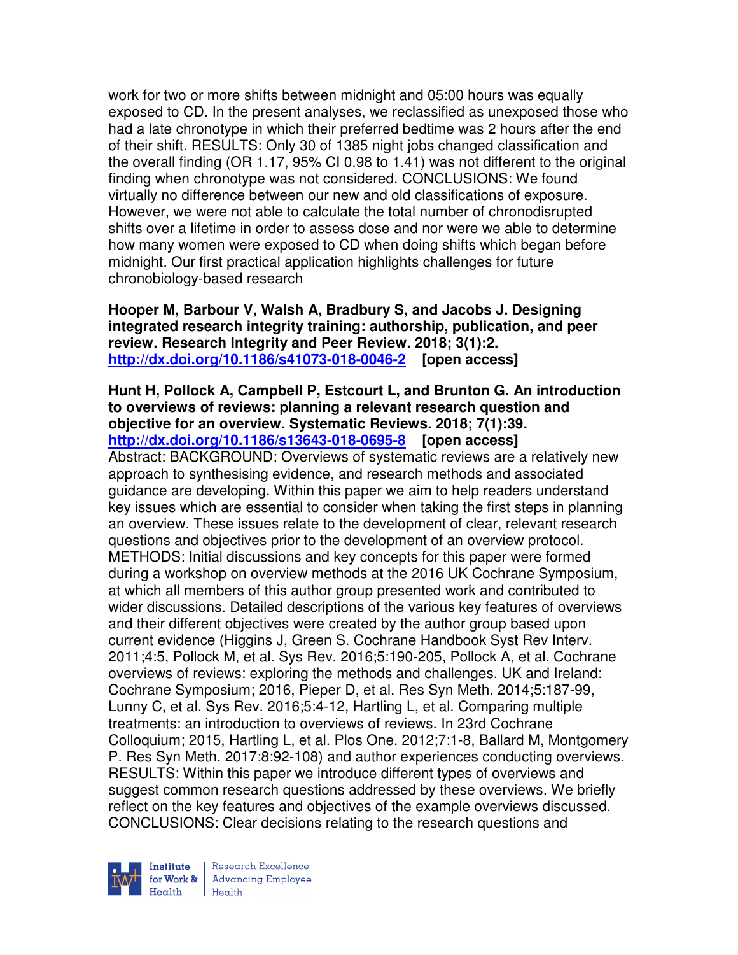work for two or more shifts between midnight and 05:00 hours was equally exposed to CD. In the present analyses, we reclassified as unexposed those who had a late chronotype in which their preferred bedtime was 2 hours after the end of their shift. RESULTS: Only 30 of 1385 night jobs changed classification and the overall finding (OR 1.17, 95% CI 0.98 to 1.41) was not different to the original finding when chronotype was not considered. CONCLUSIONS: We found virtually no difference between our new and old classifications of exposure. However, we were not able to calculate the total number of chronodisrupted shifts over a lifetime in order to assess dose and nor were we able to determine how many women were exposed to CD when doing shifts which began before midnight. Our first practical application highlights challenges for future chronobiology-based research

**Hooper M, Barbour V, Walsh A, Bradbury S, and Jacobs J. Designing integrated research integrity training: authorship, publication, and peer review. Research Integrity and Peer Review. 2018; 3(1):2. http://dx.doi.org/10.1186/s41073-018-0046-2 [open access]** 

**Hunt H, Pollock A, Campbell P, Estcourt L, and Brunton G. An introduction to overviews of reviews: planning a relevant research question and objective for an overview. Systematic Reviews. 2018; 7(1):39. http://dx.doi.org/10.1186/s13643-018-0695-8 [open access]** Abstract: BACKGROUND: Overviews of systematic reviews are a relatively new approach to synthesising evidence, and research methods and associated guidance are developing. Within this paper we aim to help readers understand key issues which are essential to consider when taking the first steps in planning an overview. These issues relate to the development of clear, relevant research questions and objectives prior to the development of an overview protocol. METHODS: Initial discussions and key concepts for this paper were formed during a workshop on overview methods at the 2016 UK Cochrane Symposium, at which all members of this author group presented work and contributed to wider discussions. Detailed descriptions of the various key features of overviews and their different objectives were created by the author group based upon current evidence (Higgins J, Green S. Cochrane Handbook Syst Rev Interv. 2011;4:5, Pollock M, et al. Sys Rev. 2016;5:190-205, Pollock A, et al. Cochrane overviews of reviews: exploring the methods and challenges. UK and Ireland: Cochrane Symposium; 2016, Pieper D, et al. Res Syn Meth. 2014;5:187-99, Lunny C, et al. Sys Rev. 2016;5:4-12, Hartling L, et al. Comparing multiple treatments: an introduction to overviews of reviews. In 23rd Cochrane Colloquium; 2015, Hartling L, et al. Plos One. 2012;7:1-8, Ballard M, Montgomery P. Res Syn Meth. 2017;8:92-108) and author experiences conducting overviews. RESULTS: Within this paper we introduce different types of overviews and suggest common research questions addressed by these overviews. We briefly reflect on the key features and objectives of the example overviews discussed. CONCLUSIONS: Clear decisions relating to the research questions and



Research Excellence for Work & | Advancing Employee Health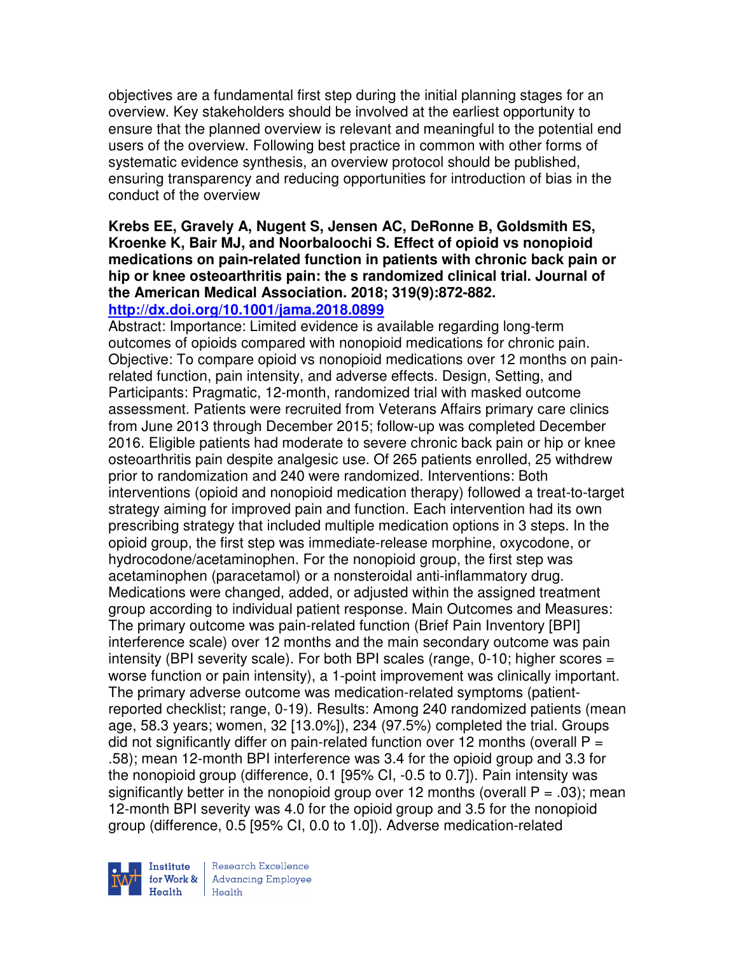objectives are a fundamental first step during the initial planning stages for an overview. Key stakeholders should be involved at the earliest opportunity to ensure that the planned overview is relevant and meaningful to the potential end users of the overview. Following best practice in common with other forms of systematic evidence synthesis, an overview protocol should be published, ensuring transparency and reducing opportunities for introduction of bias in the conduct of the overview

#### **Krebs EE, Gravely A, Nugent S, Jensen AC, DeRonne B, Goldsmith ES, Kroenke K, Bair MJ, and Noorbaloochi S. Effect of opioid vs nonopioid medications on pain-related function in patients with chronic back pain or hip or knee osteoarthritis pain: the s randomized clinical trial. Journal of the American Medical Association. 2018; 319(9):872-882. http://dx.doi.org/10.1001/jama.2018.0899**

Abstract: Importance: Limited evidence is available regarding long-term outcomes of opioids compared with nonopioid medications for chronic pain. Objective: To compare opioid vs nonopioid medications over 12 months on painrelated function, pain intensity, and adverse effects. Design, Setting, and Participants: Pragmatic, 12-month, randomized trial with masked outcome assessment. Patients were recruited from Veterans Affairs primary care clinics from June 2013 through December 2015; follow-up was completed December 2016. Eligible patients had moderate to severe chronic back pain or hip or knee osteoarthritis pain despite analgesic use. Of 265 patients enrolled, 25 withdrew prior to randomization and 240 were randomized. Interventions: Both interventions (opioid and nonopioid medication therapy) followed a treat-to-target strategy aiming for improved pain and function. Each intervention had its own prescribing strategy that included multiple medication options in 3 steps. In the opioid group, the first step was immediate-release morphine, oxycodone, or hydrocodone/acetaminophen. For the nonopioid group, the first step was acetaminophen (paracetamol) or a nonsteroidal anti-inflammatory drug. Medications were changed, added, or adjusted within the assigned treatment group according to individual patient response. Main Outcomes and Measures: The primary outcome was pain-related function (Brief Pain Inventory [BPI] interference scale) over 12 months and the main secondary outcome was pain intensity (BPI severity scale). For both BPI scales (range, 0-10; higher scores = worse function or pain intensity), a 1-point improvement was clinically important. The primary adverse outcome was medication-related symptoms (patientreported checklist; range, 0-19). Results: Among 240 randomized patients (mean age, 58.3 years; women, 32 [13.0%]), 234 (97.5%) completed the trial. Groups did not significantly differ on pain-related function over 12 months (overall  $P =$ .58); mean 12-month BPI interference was 3.4 for the opioid group and 3.3 for the nonopioid group (difference, 0.1 [95% CI, -0.5 to 0.7]). Pain intensity was significantly better in the nonopioid group over 12 months (overall  $P = .03$ ); mean 12-month BPI severity was 4.0 for the opioid group and 3.5 for the nonopioid group (difference, 0.5 [95% CI, 0.0 to 1.0]). Adverse medication-related

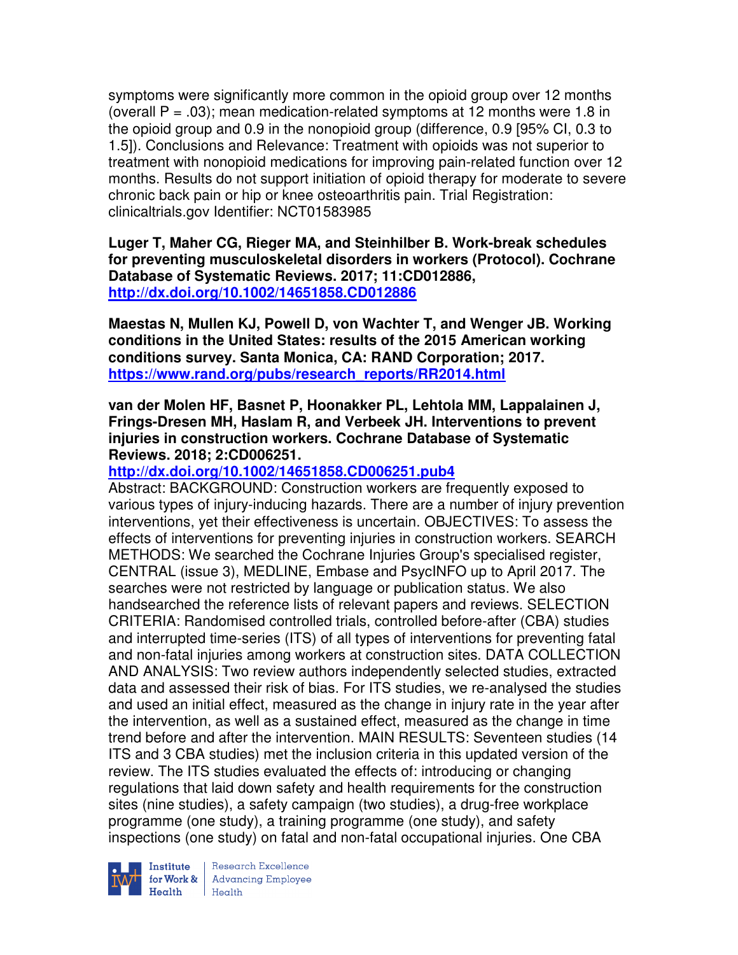symptoms were significantly more common in the opioid group over 12 months (overall  $P = .03$ ); mean medication-related symptoms at 12 months were 1.8 in the opioid group and 0.9 in the nonopioid group (difference, 0.9 [95% CI, 0.3 to 1.5]). Conclusions and Relevance: Treatment with opioids was not superior to treatment with nonopioid medications for improving pain-related function over 12 months. Results do not support initiation of opioid therapy for moderate to severe chronic back pain or hip or knee osteoarthritis pain. Trial Registration: clinicaltrials.gov Identifier: NCT01583985

**Luger T, Maher CG, Rieger MA, and Steinhilber B. Work-break schedules for preventing musculoskeletal disorders in workers (Protocol). Cochrane Database of Systematic Reviews. 2017; 11:CD012886, http://dx.doi.org/10.1002/14651858.CD012886** 

**Maestas N, Mullen KJ, Powell D, von Wachter T, and Wenger JB. Working conditions in the United States: results of the 2015 American working conditions survey. Santa Monica, CA: RAND Corporation; 2017. https://www.rand.org/pubs/research\_reports/RR2014.html**

**van der Molen HF, Basnet P, Hoonakker PL, Lehtola MM, Lappalainen J, Frings-Dresen MH, Haslam R, and Verbeek JH. Interventions to prevent injuries in construction workers. Cochrane Database of Systematic Reviews. 2018; 2:CD006251.** 

### **http://dx.doi.org/10.1002/14651858.CD006251.pub4**

Abstract: BACKGROUND: Construction workers are frequently exposed to various types of injury-inducing hazards. There are a number of injury prevention interventions, yet their effectiveness is uncertain. OBJECTIVES: To assess the effects of interventions for preventing injuries in construction workers. SEARCH METHODS: We searched the Cochrane Injuries Group's specialised register, CENTRAL (issue 3), MEDLINE, Embase and PsycINFO up to April 2017. The searches were not restricted by language or publication status. We also handsearched the reference lists of relevant papers and reviews. SELECTION CRITERIA: Randomised controlled trials, controlled before-after (CBA) studies and interrupted time-series (ITS) of all types of interventions for preventing fatal and non-fatal injuries among workers at construction sites. DATA COLLECTION AND ANALYSIS: Two review authors independently selected studies, extracted data and assessed their risk of bias. For ITS studies, we re-analysed the studies and used an initial effect, measured as the change in injury rate in the year after the intervention, as well as a sustained effect, measured as the change in time trend before and after the intervention. MAIN RESULTS: Seventeen studies (14 ITS and 3 CBA studies) met the inclusion criteria in this updated version of the review. The ITS studies evaluated the effects of: introducing or changing regulations that laid down safety and health requirements for the construction sites (nine studies), a safety campaign (two studies), a drug-free workplace programme (one study), a training programme (one study), and safety inspections (one study) on fatal and non-fatal occupational injuries. One CBA



Institute Research Excellence<br>for Work & Advancing Employee<br>Health Health Health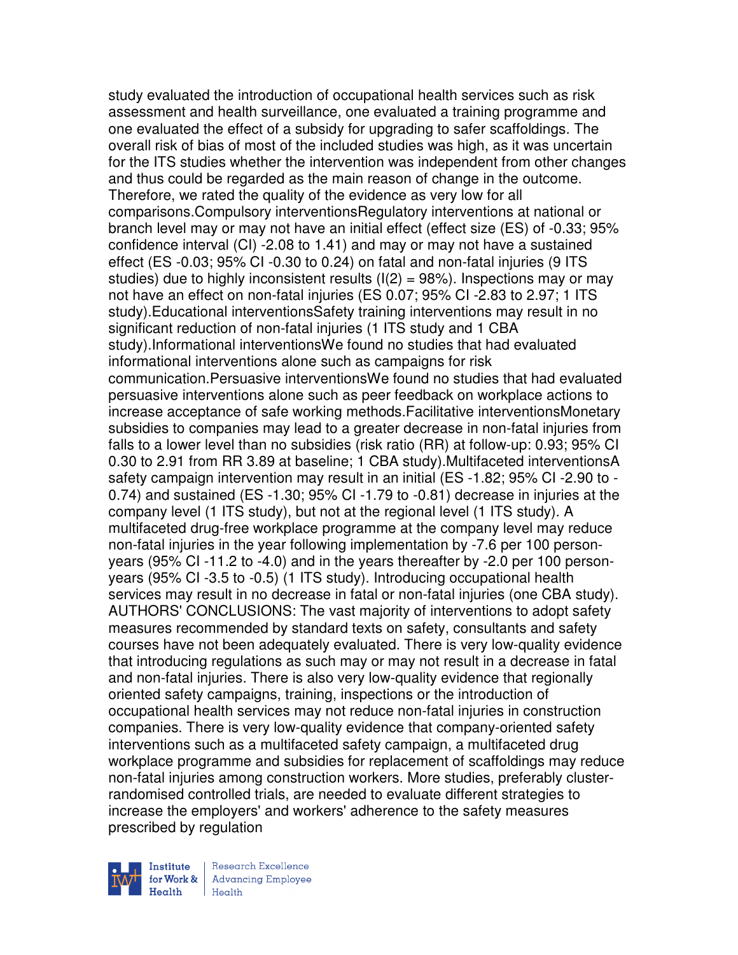study evaluated the introduction of occupational health services such as risk assessment and health surveillance, one evaluated a training programme and one evaluated the effect of a subsidy for upgrading to safer scaffoldings. The overall risk of bias of most of the included studies was high, as it was uncertain for the ITS studies whether the intervention was independent from other changes and thus could be regarded as the main reason of change in the outcome. Therefore, we rated the quality of the evidence as very low for all comparisons.Compulsory interventionsRegulatory interventions at national or branch level may or may not have an initial effect (effect size (ES) of -0.33; 95% confidence interval (CI) -2.08 to 1.41) and may or may not have a sustained effect (ES -0.03; 95% CI -0.30 to 0.24) on fatal and non-fatal injuries (9 ITS studies) due to highly inconsistent results  $(1/2) = 98\%$ ). Inspections may or may not have an effect on non-fatal injuries (ES 0.07; 95% CI -2.83 to 2.97; 1 ITS study).Educational interventionsSafety training interventions may result in no significant reduction of non-fatal injuries (1 ITS study and 1 CBA study).Informational interventionsWe found no studies that had evaluated informational interventions alone such as campaigns for risk communication.Persuasive interventionsWe found no studies that had evaluated persuasive interventions alone such as peer feedback on workplace actions to increase acceptance of safe working methods.Facilitative interventionsMonetary subsidies to companies may lead to a greater decrease in non-fatal injuries from falls to a lower level than no subsidies (risk ratio (RR) at follow-up: 0.93; 95% CI 0.30 to 2.91 from RR 3.89 at baseline; 1 CBA study).Multifaceted interventionsA safety campaign intervention may result in an initial (ES -1.82; 95% CI -2.90 to - 0.74) and sustained (ES -1.30; 95% CI -1.79 to -0.81) decrease in injuries at the company level (1 ITS study), but not at the regional level (1 ITS study). A multifaceted drug-free workplace programme at the company level may reduce non-fatal injuries in the year following implementation by -7.6 per 100 personyears (95% CI -11.2 to -4.0) and in the years thereafter by -2.0 per 100 personyears (95% CI -3.5 to -0.5) (1 ITS study). Introducing occupational health services may result in no decrease in fatal or non-fatal injuries (one CBA study). AUTHORS' CONCLUSIONS: The vast majority of interventions to adopt safety measures recommended by standard texts on safety, consultants and safety courses have not been adequately evaluated. There is very low-quality evidence that introducing regulations as such may or may not result in a decrease in fatal and non-fatal injuries. There is also very low-quality evidence that regionally oriented safety campaigns, training, inspections or the introduction of occupational health services may not reduce non-fatal injuries in construction companies. There is very low-quality evidence that company-oriented safety interventions such as a multifaceted safety campaign, a multifaceted drug workplace programme and subsidies for replacement of scaffoldings may reduce non-fatal injuries among construction workers. More studies, preferably clusterrandomised controlled trials, are needed to evaluate different strategies to increase the employers' and workers' adherence to the safety measures prescribed by regulation



Research Excellence **Advancing Employee**  $H_{\text{each}}$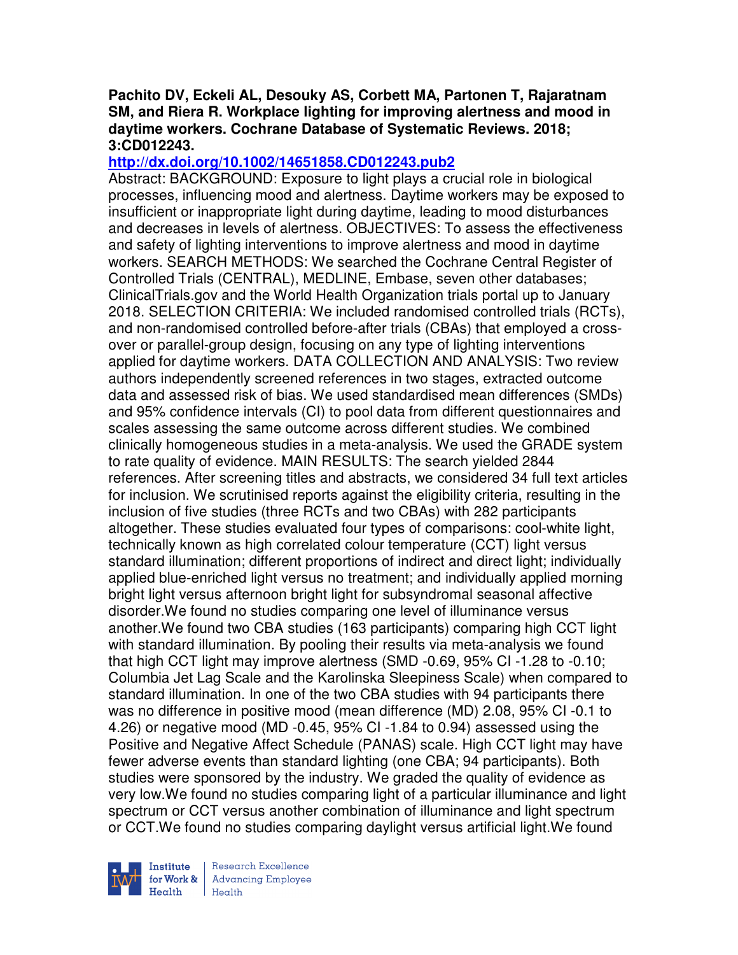#### **Pachito DV, Eckeli AL, Desouky AS, Corbett MA, Partonen T, Rajaratnam SM, and Riera R. Workplace lighting for improving alertness and mood in daytime workers. Cochrane Database of Systematic Reviews. 2018; 3:CD012243.**

## **http://dx.doi.org/10.1002/14651858.CD012243.pub2**

Abstract: BACKGROUND: Exposure to light plays a crucial role in biological processes, influencing mood and alertness. Daytime workers may be exposed to insufficient or inappropriate light during daytime, leading to mood disturbances and decreases in levels of alertness. OBJECTIVES: To assess the effectiveness and safety of lighting interventions to improve alertness and mood in daytime workers. SEARCH METHODS: We searched the Cochrane Central Register of Controlled Trials (CENTRAL), MEDLINE, Embase, seven other databases; ClinicalTrials.gov and the World Health Organization trials portal up to January 2018. SELECTION CRITERIA: We included randomised controlled trials (RCTs), and non-randomised controlled before-after trials (CBAs) that employed a crossover or parallel-group design, focusing on any type of lighting interventions applied for daytime workers. DATA COLLECTION AND ANALYSIS: Two review authors independently screened references in two stages, extracted outcome data and assessed risk of bias. We used standardised mean differences (SMDs) and 95% confidence intervals (CI) to pool data from different questionnaires and scales assessing the same outcome across different studies. We combined clinically homogeneous studies in a meta-analysis. We used the GRADE system to rate quality of evidence. MAIN RESULTS: The search yielded 2844 references. After screening titles and abstracts, we considered 34 full text articles for inclusion. We scrutinised reports against the eligibility criteria, resulting in the inclusion of five studies (three RCTs and two CBAs) with 282 participants altogether. These studies evaluated four types of comparisons: cool-white light, technically known as high correlated colour temperature (CCT) light versus standard illumination; different proportions of indirect and direct light; individually applied blue-enriched light versus no treatment; and individually applied morning bright light versus afternoon bright light for subsyndromal seasonal affective disorder.We found no studies comparing one level of illuminance versus another.We found two CBA studies (163 participants) comparing high CCT light with standard illumination. By pooling their results via meta-analysis we found that high CCT light may improve alertness (SMD -0.69, 95% CI -1.28 to -0.10; Columbia Jet Lag Scale and the Karolinska Sleepiness Scale) when compared to standard illumination. In one of the two CBA studies with 94 participants there was no difference in positive mood (mean difference (MD) 2.08, 95% CI -0.1 to 4.26) or negative mood (MD -0.45, 95% CI -1.84 to 0.94) assessed using the Positive and Negative Affect Schedule (PANAS) scale. High CCT light may have fewer adverse events than standard lighting (one CBA; 94 participants). Both studies were sponsored by the industry. We graded the quality of evidence as very low.We found no studies comparing light of a particular illuminance and light spectrum or CCT versus another combination of illuminance and light spectrum or CCT.We found no studies comparing daylight versus artificial light.We found



Research Excellence **Advancing Employee** Health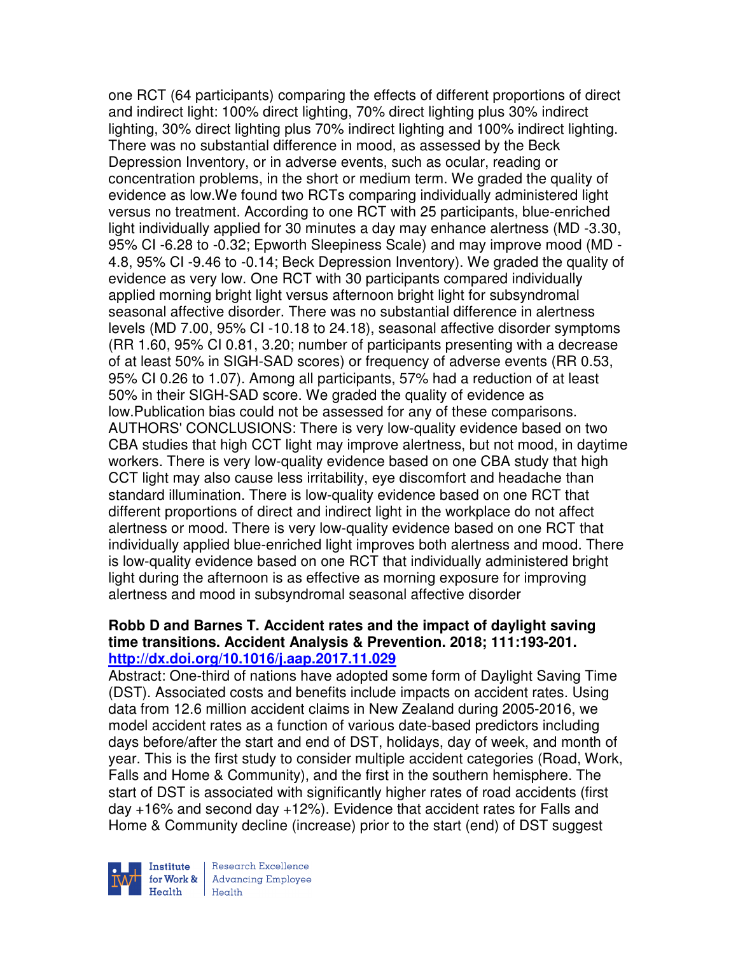one RCT (64 participants) comparing the effects of different proportions of direct and indirect light: 100% direct lighting, 70% direct lighting plus 30% indirect lighting, 30% direct lighting plus 70% indirect lighting and 100% indirect lighting. There was no substantial difference in mood, as assessed by the Beck Depression Inventory, or in adverse events, such as ocular, reading or concentration problems, in the short or medium term. We graded the quality of evidence as low.We found two RCTs comparing individually administered light versus no treatment. According to one RCT with 25 participants, blue-enriched light individually applied for 30 minutes a day may enhance alertness (MD -3.30, 95% CI -6.28 to -0.32; Epworth Sleepiness Scale) and may improve mood (MD - 4.8, 95% CI -9.46 to -0.14; Beck Depression Inventory). We graded the quality of evidence as very low. One RCT with 30 participants compared individually applied morning bright light versus afternoon bright light for subsyndromal seasonal affective disorder. There was no substantial difference in alertness levels (MD 7.00, 95% CI -10.18 to 24.18), seasonal affective disorder symptoms (RR 1.60, 95% CI 0.81, 3.20; number of participants presenting with a decrease of at least 50% in SIGH-SAD scores) or frequency of adverse events (RR 0.53, 95% CI 0.26 to 1.07). Among all participants, 57% had a reduction of at least 50% in their SIGH-SAD score. We graded the quality of evidence as low.Publication bias could not be assessed for any of these comparisons. AUTHORS' CONCLUSIONS: There is very low-quality evidence based on two CBA studies that high CCT light may improve alertness, but not mood, in daytime workers. There is very low-quality evidence based on one CBA study that high CCT light may also cause less irritability, eye discomfort and headache than standard illumination. There is low-quality evidence based on one RCT that different proportions of direct and indirect light in the workplace do not affect alertness or mood. There is very low-quality evidence based on one RCT that individually applied blue-enriched light improves both alertness and mood. There is low-quality evidence based on one RCT that individually administered bright light during the afternoon is as effective as morning exposure for improving alertness and mood in subsyndromal seasonal affective disorder

#### **Robb D and Barnes T. Accident rates and the impact of daylight saving time transitions. Accident Analysis & Prevention. 2018; 111:193-201. http://dx.doi.org/10.1016/j.aap.2017.11.029**

Abstract: One-third of nations have adopted some form of Daylight Saving Time (DST). Associated costs and benefits include impacts on accident rates. Using data from 12.6 million accident claims in New Zealand during 2005-2016, we model accident rates as a function of various date-based predictors including days before/after the start and end of DST, holidays, day of week, and month of year. This is the first study to consider multiple accident categories (Road, Work, Falls and Home & Community), and the first in the southern hemisphere. The start of DST is associated with significantly higher rates of road accidents (first day +16% and second day +12%). Evidence that accident rates for Falls and Home & Community decline (increase) prior to the start (end) of DST suggest



Research Excellence **Advancing Employee**  $H_{\text{each}}$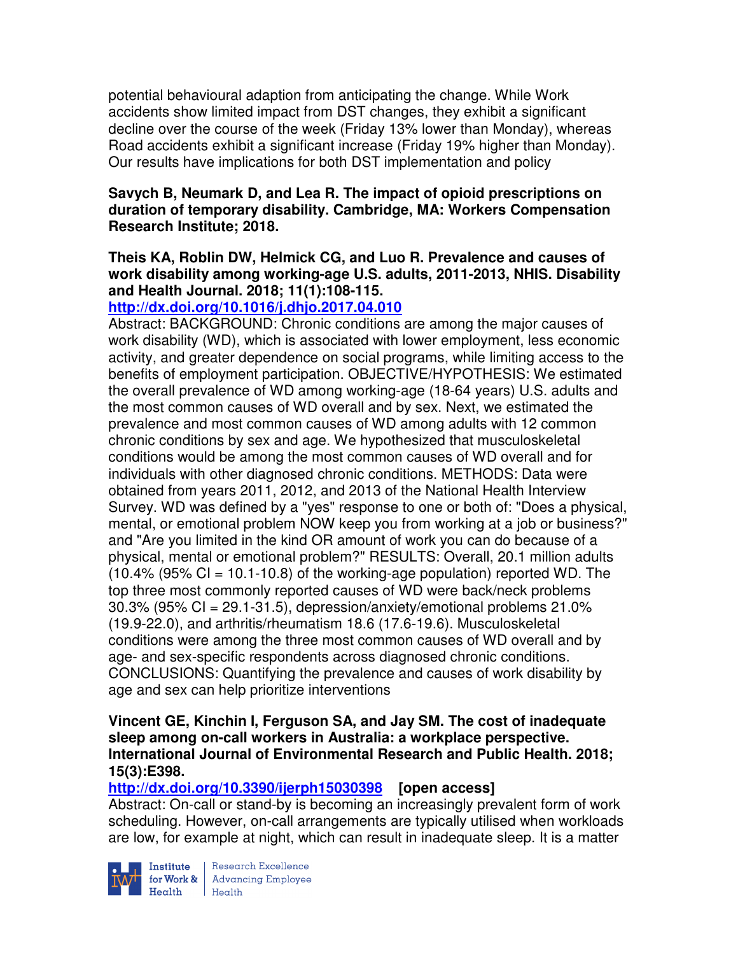potential behavioural adaption from anticipating the change. While Work accidents show limited impact from DST changes, they exhibit a significant decline over the course of the week (Friday 13% lower than Monday), whereas Road accidents exhibit a significant increase (Friday 19% higher than Monday). Our results have implications for both DST implementation and policy

### **Savych B, Neumark D, and Lea R. The impact of opioid prescriptions on duration of temporary disability. Cambridge, MA: Workers Compensation Research Institute; 2018.**

## **Theis KA, Roblin DW, Helmick CG, and Luo R. Prevalence and causes of work disability among working-age U.S. adults, 2011-2013, NHIS. Disability and Health Journal. 2018; 11(1):108-115.**

## **http://dx.doi.org/10.1016/j.dhjo.2017.04.010**

Abstract: BACKGROUND: Chronic conditions are among the major causes of work disability (WD), which is associated with lower employment, less economic activity, and greater dependence on social programs, while limiting access to the benefits of employment participation. OBJECTIVE/HYPOTHESIS: We estimated the overall prevalence of WD among working-age (18-64 years) U.S. adults and the most common causes of WD overall and by sex. Next, we estimated the prevalence and most common causes of WD among adults with 12 common chronic conditions by sex and age. We hypothesized that musculoskeletal conditions would be among the most common causes of WD overall and for individuals with other diagnosed chronic conditions. METHODS: Data were obtained from years 2011, 2012, and 2013 of the National Health Interview Survey. WD was defined by a "yes" response to one or both of: "Does a physical, mental, or emotional problem NOW keep you from working at a job or business?" and "Are you limited in the kind OR amount of work you can do because of a physical, mental or emotional problem?" RESULTS: Overall, 20.1 million adults  $(10.4\%$  (95% CI = 10.1-10.8) of the working-age population) reported WD. The top three most commonly reported causes of WD were back/neck problems  $30.3\%$  (95% CI = 29.1-31.5), depression/anxiety/emotional problems 21.0% (19.9-22.0), and arthritis/rheumatism 18.6 (17.6-19.6). Musculoskeletal conditions were among the three most common causes of WD overall and by age- and sex-specific respondents across diagnosed chronic conditions. CONCLUSIONS: Quantifying the prevalence and causes of work disability by age and sex can help prioritize interventions

#### **Vincent GE, Kinchin I, Ferguson SA, and Jay SM. The cost of inadequate sleep among on-call workers in Australia: a workplace perspective. International Journal of Environmental Research and Public Health. 2018; 15(3):E398.**

## **http://dx.doi.org/10.3390/ijerph15030398 [open access]**

Abstract: On-call or stand-by is becoming an increasingly prevalent form of work scheduling. However, on-call arrangements are typically utilised when workloads are low, for example at night, which can result in inadequate sleep. It is a matter



**Institute** Research Excellence<br> **for Work &** Advancing Employee Health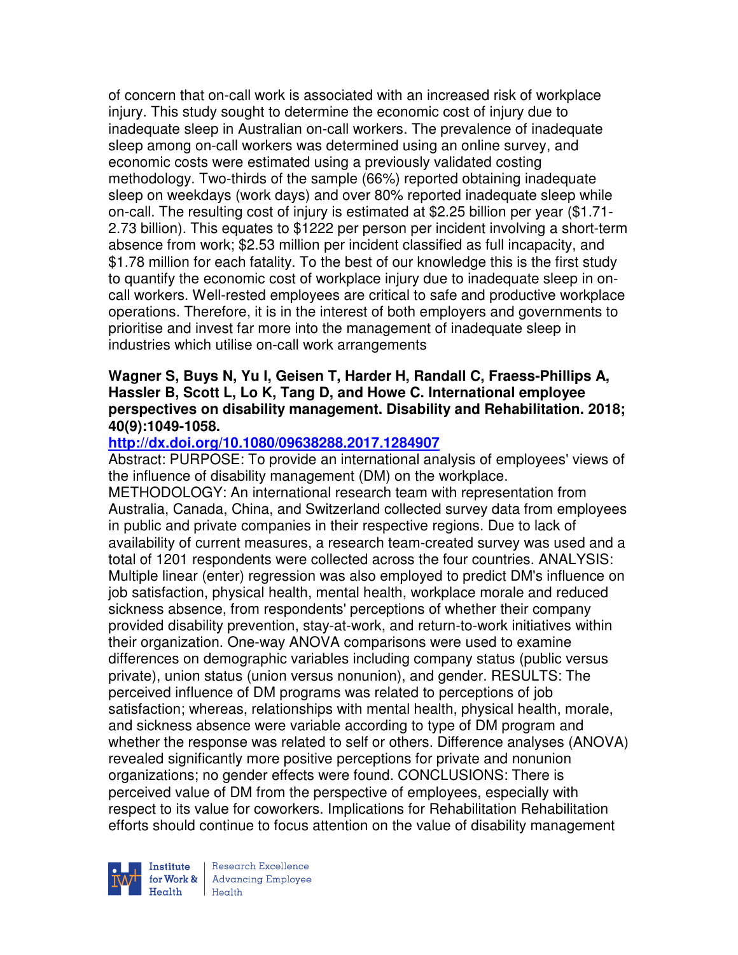of concern that on-call work is associated with an increased risk of workplace injury. This study sought to determine the economic cost of injury due to inadequate sleep in Australian on-call workers. The prevalence of inadequate sleep among on-call workers was determined using an online survey, and economic costs were estimated using a previously validated costing methodology. Two-thirds of the sample (66%) reported obtaining inadequate sleep on weekdays (work days) and over 80% reported inadequate sleep while on-call. The resulting cost of injury is estimated at \$2.25 billion per year (\$1.71- 2.73 billion). This equates to \$1222 per person per incident involving a short-term absence from work; \$2.53 million per incident classified as full incapacity, and \$1.78 million for each fatality. To the best of our knowledge this is the first study to quantify the economic cost of workplace injury due to inadequate sleep in oncall workers. Well-rested employees are critical to safe and productive workplace operations. Therefore, it is in the interest of both employers and governments to prioritise and invest far more into the management of inadequate sleep in industries which utilise on-call work arrangements

#### **Wagner S, Buys N, Yu I, Geisen T, Harder H, Randall C, Fraess-Phillips A, Hassler B, Scott L, Lo K, Tang D, and Howe C. International employee perspectives on disability management. Disability and Rehabilitation. 2018; 40(9):1049-1058.**

### **http://dx.doi.org/10.1080/09638288.2017.1284907**

Abstract: PURPOSE: To provide an international analysis of employees' views of the influence of disability management (DM) on the workplace.

METHODOLOGY: An international research team with representation from Australia, Canada, China, and Switzerland collected survey data from employees in public and private companies in their respective regions. Due to lack of availability of current measures, a research team-created survey was used and a total of 1201 respondents were collected across the four countries. ANALYSIS: Multiple linear (enter) regression was also employed to predict DM's influence on job satisfaction, physical health, mental health, workplace morale and reduced sickness absence, from respondents' perceptions of whether their company provided disability prevention, stay-at-work, and return-to-work initiatives within their organization. One-way ANOVA comparisons were used to examine differences on demographic variables including company status (public versus private), union status (union versus nonunion), and gender. RESULTS: The perceived influence of DM programs was related to perceptions of job satisfaction; whereas, relationships with mental health, physical health, morale, and sickness absence were variable according to type of DM program and whether the response was related to self or others. Difference analyses (ANOVA) revealed significantly more positive perceptions for private and nonunion organizations; no gender effects were found. CONCLUSIONS: There is perceived value of DM from the perspective of employees, especially with respect to its value for coworkers. Implications for Rehabilitation Rehabilitation efforts should continue to focus attention on the value of disability management



Research Excellence for Work & | Advancing Employee  $H_{\text{eath}}$